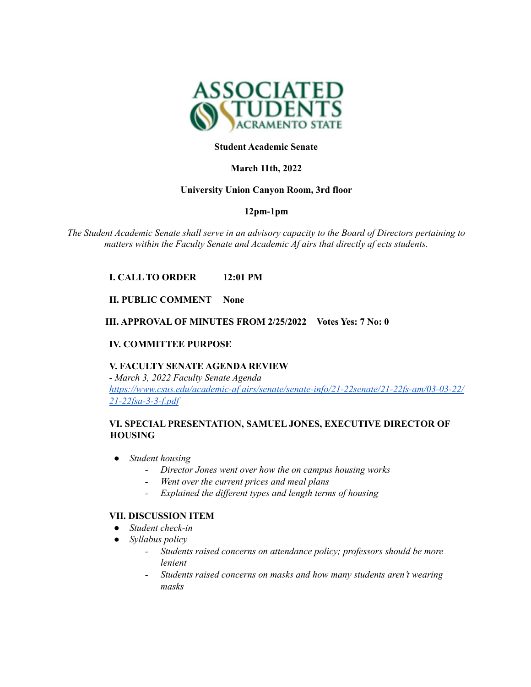

## **Student Academic Senate**

## **March 11th, 2022**

## **University Union Canyon Room, 3rd floor**

## **12pm-1pm**

*The Student Academic Senate shall serve in an advisory capacity to the Board of Directors pertaining to matters within the Faculty Senate and Academic Af airs that directly af ects students.*

# **I. CALL TO ORDER 12:01 PM**

## **II. PUBLIC COMMENT None**

## **III. APPROVAL OF MINUTES FROM 2/25/2022 Votes Yes: 7 No: 0**

## **IV. COMMITTEE PURPOSE**

# **V. FACULTY SENATE AGENDA REVIEW** *- March 3, 2022 Faculty Senate Agenda https://www.csus.edu/academic-af airs/senate/senate-info/21-22senate/21-22fs-am/03-03-22/ 21-22fsa-3-3-f.pdf*

## **VI. SPECIAL PRESENTATION, SAMUEL JONES, EXECUTIVE DIRECTOR OF HOUSING**

- *● Student housing*
	- *- Director Jones went over how the on campus housing works*
	- *- Went over the current prices and meal plans*
	- *- Explained the dif erent types and length terms of housing*

#### **VII. DISCUSSION ITEM**

- *● Student check-in*
- *● Syllabus policy*
	- *- Students raised concerns on attendance policy; professors should be more lenient*
	- *- Students raised concerns on masks and how many students aren't wearing masks*